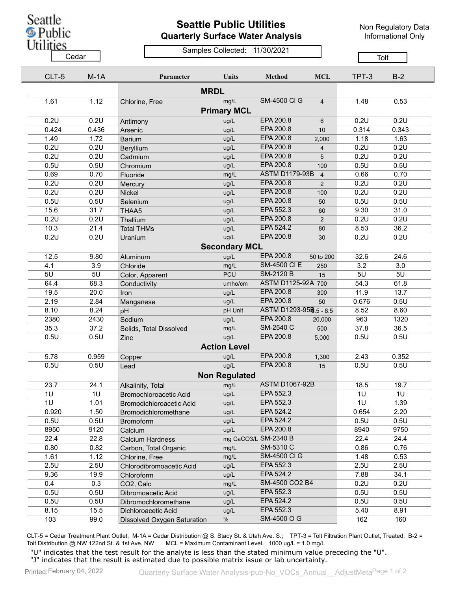Seattle **D**<br>Public<br>Utilities

## **Seattle Public Utilities Quarterly Surface Water Analysis**

Non Regulatory Data Informational Only

Samples Collected: 11/30/2021 <u>Cedar Cedar Cedar Cedar Cedar Cedar Cedar Cedar Cedar Cedar Cedar Cedar Cedar Cedar Cedar Cedar Cedar Cedar Ceda</u>

| CLT-5       | $M-1A$ | Parameter                       | <b>Units</b>         | <b>Method</b>          | <b>MCL</b>     | TPT-3 | $B-2$ |  |  |  |
|-------------|--------|---------------------------------|----------------------|------------------------|----------------|-------|-------|--|--|--|
| <b>MRDL</b> |        |                                 |                      |                        |                |       |       |  |  |  |
| 1.61        | 1.12   | Chlorine, Free                  | mg/L                 | <b>SM-4500 CI G</b>    | $\overline{4}$ | 1.48  | 0.53  |  |  |  |
|             |        |                                 | <b>Primary MCL</b>   |                        |                |       |       |  |  |  |
| 0.2U        | 0.2U   | Antimony                        | ug/L                 | EPA 200.8              | 6              | 0.2U  | 0.2U  |  |  |  |
| 0.424       | 0.436  | Arsenic                         | ug/L                 | EPA 200.8              | 10             | 0.314 | 0.343 |  |  |  |
| 1.49        | 1.72   | <b>Barium</b>                   | ug/L                 | EPA 200.8              | 2,000          | 1.18  | 1.63  |  |  |  |
| 0.2U        | 0.2U   | Beryllium                       | ug/L                 | EPA 200.8              | $\overline{4}$ | 0.2U  | 0.2U  |  |  |  |
| 0.2U        | 0.2U   | Cadmium                         | ug/L                 | EPA 200.8              | 5              | 0.2U  | 0.2U  |  |  |  |
| 0.5U        | 0.5U   | Chromium                        | ug/L                 | EPA 200.8              | 100            | 0.5U  | 0.5U  |  |  |  |
| 0.69        | 0.70   | Fluoride                        | mg/L                 | <b>ASTM D1179-93B</b>  | $\overline{4}$ | 0.66  | 0.70  |  |  |  |
| 0.2U        | 0.2U   | Mercury                         | ug/L                 | EPA 200.8              | 2              | 0.2U  | 0.2U  |  |  |  |
| 0.2U        | 0.2U   | Nickel                          | ug/L                 | EPA 200.8              | 100            | 0.2U  | 0.2U  |  |  |  |
| 0.5U        | 0.5U   | Selenium                        | ug/L                 | EPA 200.8              | 50             | 0.5U  | 0.5U  |  |  |  |
| 15.6        | 31.7   | THAA5                           | ug/L                 | EPA 552.3              | 60             | 9.30  | 31.0  |  |  |  |
| 0.2U        | 0.2U   | Thallium                        | ug/L                 | EPA 200.8              | 2              | 0.2U  | 0.2U  |  |  |  |
| 10.3        | 21.4   | <b>Total THMs</b>               | ug/L                 | EPA 524.2              | 80             | 8.53  | 36.2  |  |  |  |
| 0.2U        | 0.2U   | Uranium                         | ug/L                 | EPA 200.8              | 30             | 0.2U  | 0.2U  |  |  |  |
|             |        |                                 | <b>Secondary MCL</b> |                        |                |       |       |  |  |  |
| 12.5        | 9.80   |                                 | ug/L                 | EPA 200.8              | 50 to 200      | 32.6  | 24.6  |  |  |  |
| 4.1         | 3.9    | Aluminum<br>Chloride            | mg/L                 | <b>SM-4500 CI E</b>    | 250            | 3.2   | 3.0   |  |  |  |
| 5U          | 5U     |                                 | <b>PCU</b>           | <b>SM-2120 B</b>       | 15             | 5U    | 5U    |  |  |  |
| 64.4        | 68.3   | Color, Apparent<br>Conductivity | umho/cm              | ASTM D1125-92A 700     |                | 54.3  | 61.8  |  |  |  |
| 19.5        | 20.0   |                                 | ug/L                 | EPA 200.8              | 300            | 11.9  | 13.7  |  |  |  |
| 2.19        | 2.84   | Iron                            | ug/L                 | EPA 200.8              | 50             | 0.676 | 0.5U  |  |  |  |
| 8.10        | 8.24   | Manganese<br>pH                 | pH Unit              | ASTM D1293-958.5 - 8.5 |                | 8.52  | 8.60  |  |  |  |
| 2380        | 2430   | Sodium                          | ug/L                 | EPA 200.8              | 20,000         | 963   | 1320  |  |  |  |
| 35.3        | 37.2   | Solids, Total Dissolved         | mg/L                 | SM-2540 C              | 500            | 37.8  | 36.5  |  |  |  |
| 0.5U        | 0.5U   |                                 | ug/L                 | EPA 200.8              | 5,000          | 0.5U  | 0.5U  |  |  |  |
|             |        | Zinc                            | <b>Action Level</b>  |                        |                |       |       |  |  |  |
|             |        |                                 |                      |                        |                |       |       |  |  |  |
| 5.78        | 0.959  | Copper                          | ug/L                 | EPA 200.8              | 1,300          | 2.43  | 0.352 |  |  |  |
| 0.5U        | 0.5U   | Lead                            | ug/L                 | EPA 200.8              | 15             | 0.5U  | 0.5U  |  |  |  |
|             |        |                                 | <b>Non Regulated</b> |                        |                |       |       |  |  |  |
| 23.7        | 24.1   | Alkalinity, Total               | mg/L                 | <b>ASTM D1067-92B</b>  |                | 18.5  | 19.7  |  |  |  |
| 1U          | 1U     | <b>Bromochloroacetic Acid</b>   | ug/L                 | EPA 552.3              |                | 1U    | 1U    |  |  |  |
| 1U          | 1.01   | Bromodichloroacetic Acid        | ug/L                 | EPA 552.3              |                | 1U    | 1.39  |  |  |  |
| 0.920       | 1.50   | Bromodichloromethane            | ug/L                 | EPA 524.2              |                | 0.654 | 2.20  |  |  |  |
| 0.5U        | 0.5U   | <b>Bromoform</b>                | ug/L                 | EPA 524.2              |                | 0.5U  | 0.5U  |  |  |  |
| 8950        | 9120   | Calcium                         | ug/L                 | EPA 200.8              |                | 8940  | 9750  |  |  |  |
| 22.4        | 22.8   | <b>Calcium Hardness</b>         |                      | mg CaCO3/L SM-2340 B   |                | 22.4  | 24.4  |  |  |  |
| 0.80        | 0.82   | Carbon, Total Organic           | mg/L                 | SM-5310 C              |                | 0.86  | 0.76  |  |  |  |
| 1.61        | 1.12   | Chlorine, Free                  | mg/L                 | <b>SM-4500 CI G</b>    |                | 1.48  | 0.53  |  |  |  |
| 2.5U        | 2.5U   | Chlorodibromoacetic Acid        | ug/L                 | EPA 552.3              |                | 2.5U  | 2.5U  |  |  |  |
| 9.36        | 19.9   | Chloroform                      | ug/L                 | EPA 524.2              |                | 7.88  | 34.1  |  |  |  |
| 0.4         | 0.3    | CO2, Calc                       | mg/L                 | SM-4500 CO2 B4         |                | 0.2U  | 0.2U  |  |  |  |
| 0.5U        | 0.5U   | Dibromoacetic Acid              | ug/L                 | EPA 552.3              |                | 0.5U  | 0.5U  |  |  |  |
| 0.5U        | 0.5U   | Dibromochloromethane            | ug/L                 | EPA 524.2              |                | 0.5U  | 0.5U  |  |  |  |
| 8.15        | 15.5   | Dichloroacetic Acid             | ug/L                 | EPA 552.3              |                | 5.40  | 8.91  |  |  |  |
| 103         | 99.0   | Dissolved Oxygen Saturation     | $\%$                 | SM-4500 O G            |                | 162   | 160   |  |  |  |

CLT-5 = Cedar Treatment Plant Outlet, M-1A = Cedar Distribution @ S. Stacy St. & Utah Ave. S.; TPT-3 = Tolt Filtration Plant Outlet, Treated; B-2 = Tolt Distribution @ NW 122nd St. & 1st Ave. NW MCL = Maximum Contaminant Level, 1000 ug/L = 1.0 mg/L

"U" indicates that the test result for the analyte is less than the stated minimum value preceding the "U". "J" indicates that the result is estimated due to possible matrix issue or lab uncertainty.